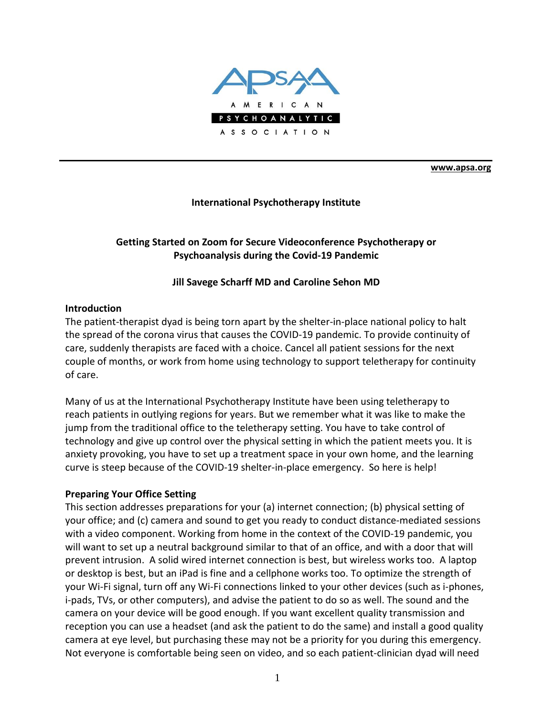

**[www.apsa.org](http://www.apsa.org/)**

#### **International Psychotherapy Institute**

# **Getting Started on Zoom for Secure Videoconference Psychotherapy or Psychoanalysis during the Covid-19 Pandemic**

#### **Jill Savege Scharff MD and Caroline Sehon MD**

#### **Introduction**

The patient-therapist dyad is being torn apart by the shelter-in-place national policy to halt the spread of the corona virus that causes the COVID-19 pandemic. To provide continuity of care, suddenly therapists are faced with a choice. Cancel all patient sessions for the next couple of months, or work from home using technology to support teletherapy for continuity of care.

Many of us at the International Psychotherapy Institute have been using teletherapy to reach patients in outlying regions for years. But we remember what it was like to make the jump from the traditional office to the teletherapy setting. You have to take control of technology and give up control over the physical setting in which the patient meets you. It is anxiety provoking, you have to set up a treatment space in your own home, and the learning curve is steep because of the COVID-19 shelter-in-place emergency. So here is help!

#### **Preparing Your Office Setting**

This section addresses preparations for your (a) internet connection; (b) physical setting of your office; and (c) camera and sound to get you ready to conduct distance-mediated sessions with a video component. Working from home in the context of the COVID-19 pandemic, you will want to set up a neutral background similar to that of an office, and with a door that will prevent intrusion. A solid wired internet connection is best, but wireless works too. A laptop or desktop is best, but an iPad is fine and a cellphone works too. To optimize the strength of your Wi-Fi signal, turn off any Wi-Fi connections linked to your other devices (such as i-phones, i-pads, TVs, or other computers), and advise the patient to do so as well. The sound and the camera on your device will be good enough. If you want excellent quality transmission and reception you can use a headset (and ask the patient to do the same) and install a good quality camera at eye level, but purchasing these may not be a priority for you during this emergency. Not everyone is comfortable being seen on video, and so each patient-clinician dyad will need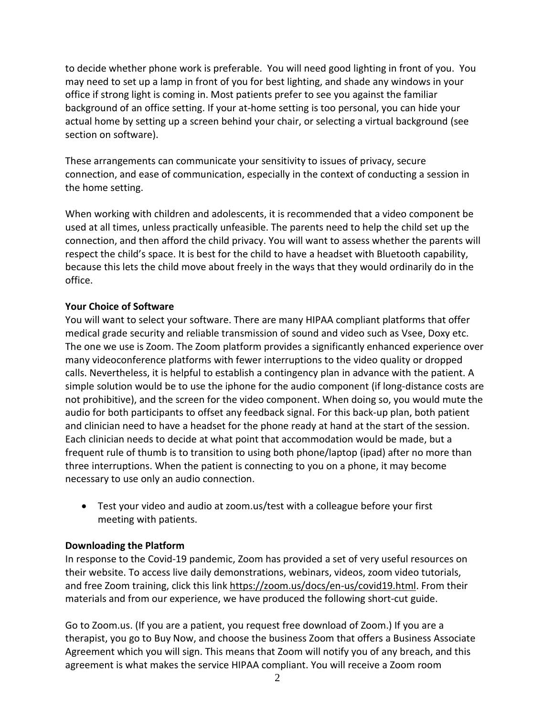to decide whether phone work is preferable. You will need good lighting in front of you. You may need to set up a lamp in front of you for best lighting, and shade any windows in your office if strong light is coming in. Most patients prefer to see you against the familiar background of an office setting. If your at-home setting is too personal, you can hide your actual home by setting up a screen behind your chair, or selecting a virtual background (see section on software).

These arrangements can communicate your sensitivity to issues of privacy, secure connection, and ease of communication, especially in the context of conducting a session in the home setting.

When working with children and adolescents, it is recommended that a video component be used at all times, unless practically unfeasible. The parents need to help the child set up the connection, and then afford the child privacy. You will want to assess whether the parents will respect the child's space. It is best for the child to have a headset with Bluetooth capability, because this lets the child move about freely in the ways that they would ordinarily do in the office.

# **Your Choice of Software**

You will want to select your software. There are many HIPAA compliant platforms that offer medical grade security and reliable transmission of sound and video such as Vsee, Doxy etc. The one we use is Zoom. The Zoom platform provides a significantly enhanced experience over many videoconference platforms with fewer interruptions to the video quality or dropped calls. Nevertheless, it is helpful to establish a contingency plan in advance with the patient. A simple solution would be to use the iphone for the audio component (if long-distance costs are not prohibitive), and the screen for the video component. When doing so, you would mute the audio for both participants to offset any feedback signal. For this back-up plan, both patient and clinician need to have a headset for the phone ready at hand at the start of the session. Each clinician needs to decide at what point that accommodation would be made, but a frequent rule of thumb is to transition to using both phone/laptop (ipad) after no more than three interruptions. When the patient is connecting to you on a phone, it may become necessary to use only an audio connection.

• Test your video and audio at zoom.us/test with a colleague before your first meeting with patients.

# **Downloading the Platform**

In response to the Covid-19 pandemic, Zoom has provided a set of very useful resources on their website. To access live daily demonstrations, webinars, videos, zoom video tutorials, and free Zoom training, click this link https://zoom.us/docs/en-us/covid19.html. From their materials and from our experience, we have produced the following short-cut guide.

Go to Zoom.us. (If you are a patient, you request free download of Zoom.) If you are a therapist, you go to Buy Now, and choose the business Zoom that offers a Business Associate Agreement which you will sign. This means that Zoom will notify you of any breach, and this agreement is what makes the service HIPAA compliant. You will receive a Zoom room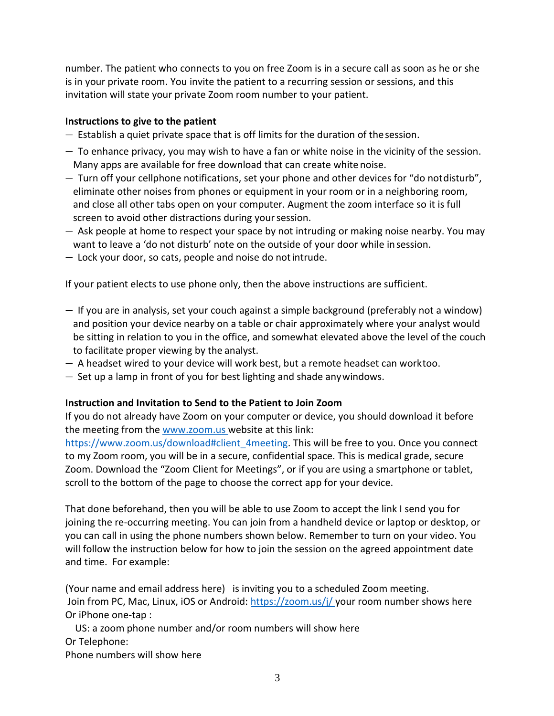number. The patient who connects to you on free Zoom is in a secure call as soon as he or she is in your private room. You invite the patient to a recurring session or sessions, and this invitation will state your private Zoom room number to your patient.

## **Instructions to give to the patient**

- Establish a quiet private space that is off limits for the duration of thesession.
- $-$  To enhance privacy, you may wish to have a fan or white noise in the vicinity of the session. Many apps are available for free download that can create white noise.
- Turn off your cellphone notifications, set your phone and other devices for "do notdisturb", eliminate other noises from phones or equipment in your room or in a neighboring room, and close all other tabs open on your computer. Augment the zoom interface so it is full screen to avoid other distractions during your session.
- Ask people at home to respect your space by not intruding or making noise nearby. You may want to leave a 'do not disturb' note on the outside of your door while insession.
- Lock your door, so cats, people and noise do notintrude.

If your patient elects to use phone only, then the above instructions are sufficient.

- If you are in analysis, set your couch against a simple background (preferably not a window) and position your device nearby on a table or chair approximately where your analyst would be sitting in relation to you in the office, and somewhat elevated above the level of the couch to facilitate proper viewing by the analyst.
- A headset wired to your device will work best, but a remote headset can worktoo.
- Set up a lamp in front of you for best lighting and shade anywindows.

### **Instruction and Invitation to Send to the Patient to Join Zoom**

If you do not already have Zoom on your computer or device, you should download it before the meeting from the [www.zoom.us](http://www.zoom.us/) website at this link:

https:/[/www.zoom.us/download#client\\_4meeting.](http://www.zoom.us/download%23client_4meeting) This will be free to you. Once you connect to my Zoom room, you will be in a secure, confidential space. This is medical grade, secure Zoom. Download the "Zoom Client for Meetings", or if you are using a smartphone or tablet, scroll to the bottom of the page to choose the correct app for your device.

That done beforehand, then you will be able to use Zoom to accept the link I send you for joining the re-occurring meeting. You can join from a handheld device or laptop or desktop, or you can call in using the phone numbers shown below. Remember to turn on your video. You will follow the instruction below for how to join the session on the agreed appointment date and time. For example:

(Your name and email address here) is inviting you to a scheduled Zoom meeting. Join from PC, Mac, Linux, iOS or Android: https://zoom.us/j/ your room number shows here Or iPhone one-tap :

US: a zoom phone number and/or room numbers will show here Or Telephone: Phone numbers will show here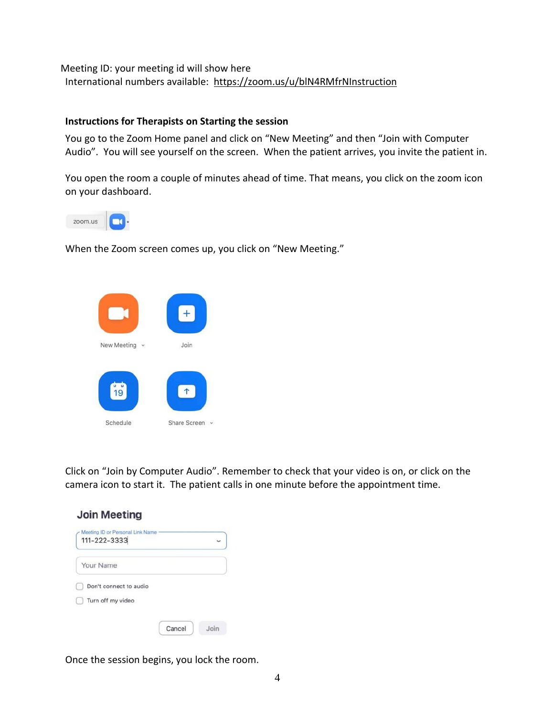Meeting ID: your meeting id will show here International numbers available: https://zoom.us/u/blN4RMfrNInstruction

#### **Instructions for Therapists on Starting the session**

You go to the Zoom Home panel and click on "New Meeting" and then "Join with Computer Audio". You will see yourself on the screen. When the patient arrives, you invite the patient in.

You open the room a couple of minutes ahead of time. That means, you click on the zoom icon on your dashboard.



When the Zoom screen comes up, you click on "New Meeting."



Click on "Join by Computer Audio". Remember to check that your video is on, or click on the camera icon to start it. The patient calls in one minute before the appointment time.

| Meeting ID or Personal Link Name<br>111-222-3333 |  |
|--------------------------------------------------|--|
| Your Name                                        |  |
| Don't connect to audio                           |  |
| Turn off my video                                |  |

Once the session begins, you lock the room.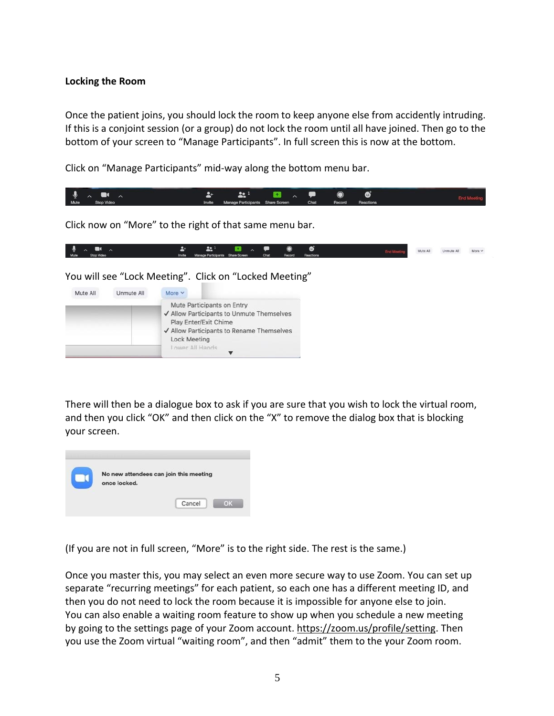# **Locking the Room**

Once the patient joins, you should lock the room to keep anyone else from accidently intruding. If this is a conjoint session (or a group) do not lock the room until all have joined. Then go to the bottom of your screen to "Manage Participants". In full screen this is now at the bottom.

Click on "Manage Participants" mid-way along the bottom menu bar.



Click now on "More" to the right of that same menu bar.

| $\mathbf{0}$ $\mathbf{0}$ $\mathbf{0}$ |                                                               |  |  | <b>End Meetin</b> | Mute All | Unmute All More V |  |
|----------------------------------------|---------------------------------------------------------------|--|--|-------------------|----------|-------------------|--|
| Mute Stop Video                        | Invite Manage Participants Share Screen Chat Record Reactions |  |  |                   |          |                   |  |

You will see "Lock Meeting". Click on "Locked Meeting"



There will then be a dialogue box to ask if you are sure that you wish to lock the virtual room, and then you click "OK" and then click on the "X" to remove the dialog box that is blocking your screen.



(If you are not in full screen, "More" is to the right side. The rest is the same.)

Once you master this, you may select an even more secure way to use Zoom. You can set up separate "recurring meetings" for each patient, so each one has a different meeting ID, and then you do not need to lock the room because it is impossible for anyone else to join. You can also enable a waiting room feature to show up when you schedule a new meeting by going to the settings page of your Zoom account. https://zoom.us/profile/setting. Then you use the Zoom virtual "waiting room", and then "admit" them to the your Zoom room.